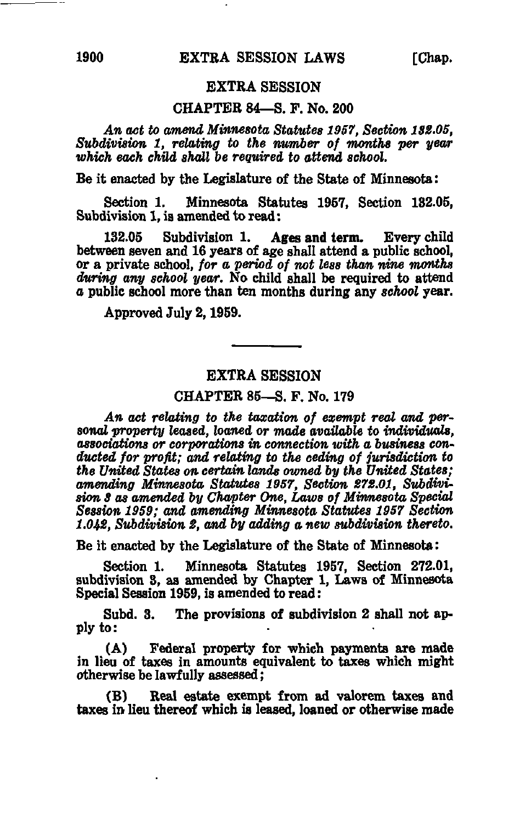## EXTRA SESSION

### CHAPTER 84—S. F. No. 200

An act to amend Minnesota Statutes 1957, Section 1S2.05, Subdivision 1, relating to the number of months per year which each child shall be required to attend school.

Be it enacted by the Legislature of the State of Minnesota:

Section 1. Minnesota Statutes 1957, Section 132.05, Subdivision 1, is amended to read:

132.05 Subdivision 1. Ages and term. Every child between seven and 16 years of age shall attend a public school, or a private school, for a period of not less than nine months during any school year. No child shall be required to attend a public school more than ten months during any school year.

Approved July 2,1959.

### EXTRA SESSION

## CHAPTER 85—S. F. No. 179

An act relating to the taxation of exempt real and personal property leased, loaned or made available to individuals, associations or corporations in connection with a business conducted for profit; and relating to the ceding of jurisdiction to the United States on certain lands owned by the United States; amending Minnesota Statutes 1957, Section 272.01, Subdivision S as amended by Chapter One, Laws of Minnesota Special Session 1959; and amending Minnesota Statutes 1957 Section 1.042. Subdivision 2, and by adding a new subdivision thereto.

Be it enacted by the Legislature of the State of Minnesota:

Section 1. Minnesota Statutes 1957, Section 272.01, subdivision 3, as amended by Chapter 1, Laws of Minnesota Special Session 1959, is amended to read:

Subd. 3. The provisions of subdivision 2 shall not apply to:

(A) Federal property for which payments are made in lieu of taxes in amounts equivalent to taxes which might otherwise be lawfully assessed;

(B) Real estate exempt from ad valorem taxes and taxes in lieu thereof which is leased, loaned or otherwise made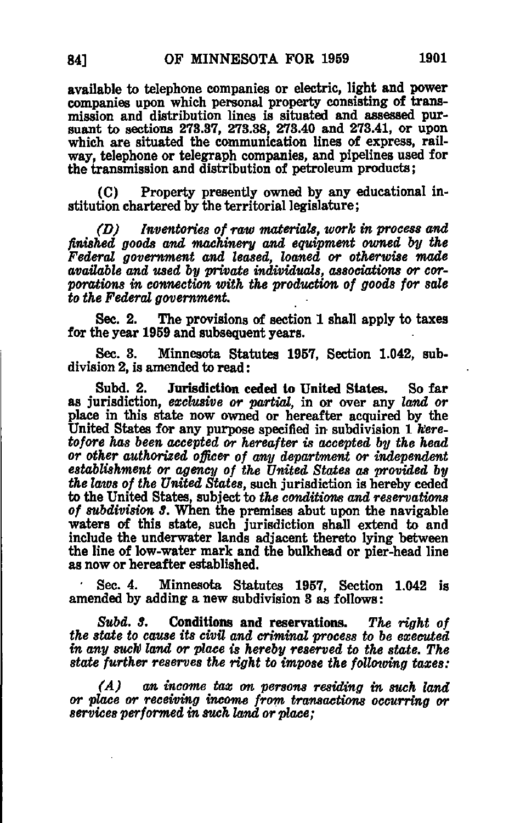available to telephone companies or electric, light and power companies upon which personal property consisting of transmission and distribution lines is situated and assessed pursuant to sections 273.37, 273.38, 273.40 and 273.41, or upon which are situated the communication lines of express, railway, telephone or telegraph companies, and pipelines used for the transmission and distribution of petroleum products;

(C) Property presently owned by any educational institution chartered by the territorial legislature;

(D) Inventories of raw materials, work in process and finished goods and machinery and equipment owned by the Federal government and leased, loaned or otherwise made available and used by private individuals, associations or corporations in connection with the production of goods for sale to the Federal government,

Sec. 2. The provisions of section 1 shall apply to taxes for the year 1959 and subsequent years.

Sec. 3. Minnesota Statutes 1957, Section 1.042, subdivision 2, is amended to read:

Subd. 2. Jurisdiction ceded to United States. So far as jurisdiction, exclusive or partial, in or over any land or place in this state now owned or hereafter acquired by the United States for any purpose specified in subdivision 1 heretofore has been accepted or hereafter is accepted by the head or other authorized officer of any department or independent establishment or agency of the United States as provided by the laws of the United States, such jurisdiction is hereby ceded to the United States, subject to the conditions and reservations of subdivision S. When the premises abut upon the navigable waters of this state, such jurisdiction shall extend to and include the underwater lands adjacent thereto lying between the line of low-water mark and the bulkhead or pier-head line as now or hereafter established.

Sec. 4. Minnesota Statutes 1957, Section 1.042 is amended by adding a new subdivision 3 as follows:

Subd. 3. Conditions and reservations. The right of the state to cause its civil and criminal process to be executed in any such land or place is hereby reserved to the state. The state further reserves the right to impose the following taxes:

(A) an income tax on persons residing in such land or place or receiving income from transactions occurring or services performed in such land or place;